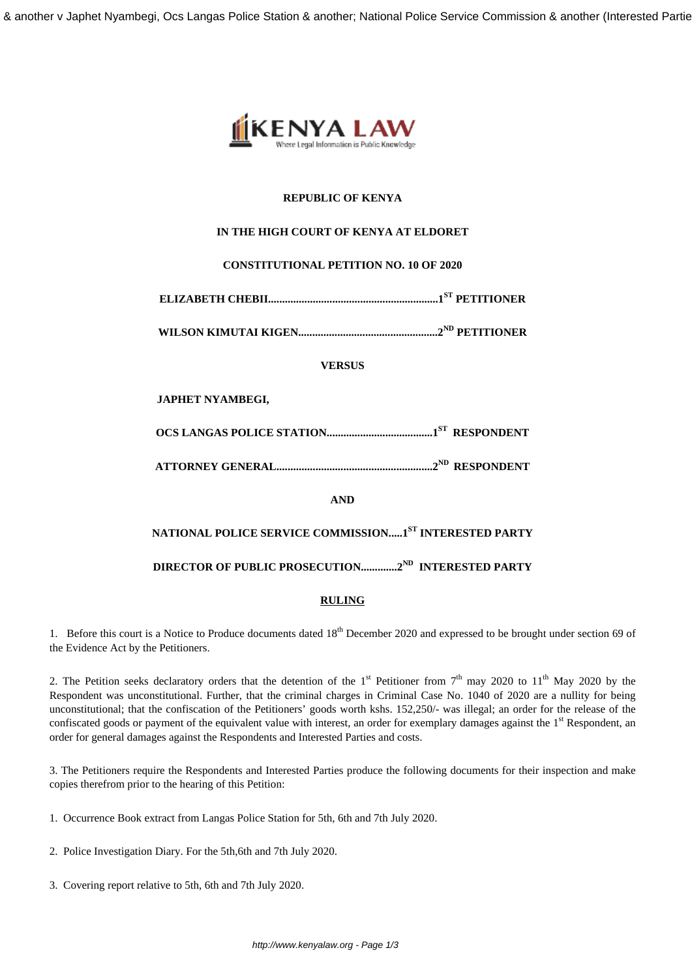

# **REPUBLIC OF KENYA**

# **IN THE HIGH COURT OF KENYA AT ELDORET**

# **CONSTITUTIONAL PETITION NO. 10 OF 2020**

**ELIZABETH CHEBII.............................................................1ST PETITIONER**

**WILSON KIMUTAI KIGEN..................................................2ND PETITIONER**

**VERSUS**

# **JAPHET NYAMBEGI,**

**OCS LANGAS POLICE STATION......................................1ST RESPONDENT**

**ATTORNEY GENERAL........................................................2ND RESPONDENT**

**AND**

# **NATIONAL POLICE SERVICE COMMISSION.....1ST INTERESTED PARTY**

**DIRECTOR OF PUBLIC PROSECUTION.............2ND INTERESTED PARTY**

# **RULING**

1. Before this court is a Notice to Produce documents dated 18<sup>th</sup> December 2020 and expressed to be brought under section 69 of the Evidence Act by the Petitioners.

2. The Petition seeks declaratory orders that the detention of the  $1<sup>st</sup>$  Petitioner from  $7<sup>th</sup>$  may 2020 to  $11<sup>th</sup>$  May 2020 by the Respondent was unconstitutional. Further, that the criminal charges in Criminal Case No. 1040 of 2020 are a nullity for being unconstitutional; that the confiscation of the Petitioners' goods worth kshs. 152,250/- was illegal; an order for the release of the confiscated goods or payment of the equivalent value with interest, an order for exemplary damages against the  $1<sup>st</sup>$  Respondent, an order for general damages against the Respondents and Interested Parties and costs.

3. The Petitioners require the Respondents and Interested Parties produce the following documents for their inspection and make copies therefrom prior to the hearing of this Petition:

- 1. Occurrence Book extract from Langas Police Station for 5th, 6th and 7th July 2020.
- 2. Police Investigation Diary. For the 5th,6th and 7th July 2020.
- 3. Covering report relative to 5th, 6th and 7th July 2020.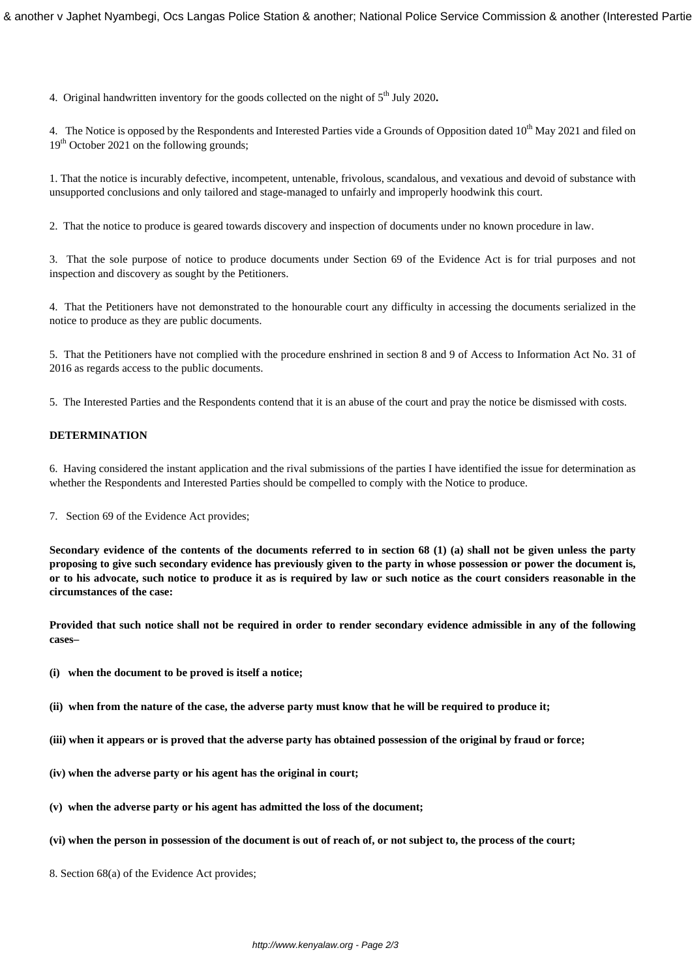4. Original handwritten inventory for the goods collected on the night of 5th July 2020**.** 

4. The Notice is opposed by the Respondents and Interested Parties vide a Grounds of Opposition dated  $10<sup>th</sup>$  May 2021 and filed on 19<sup>th</sup> October 2021 on the following grounds;

1. That the notice is incurably defective, incompetent, untenable, frivolous, scandalous, and vexatious and devoid of substance with unsupported conclusions and only tailored and stage-managed to unfairly and improperly hoodwink this court.

2. That the notice to produce is geared towards discovery and inspection of documents under no known procedure in law.

3. That the sole purpose of notice to produce documents under Section 69 of the Evidence Act is for trial purposes and not inspection and discovery as sought by the Petitioners.

4. That the Petitioners have not demonstrated to the honourable court any difficulty in accessing the documents serialized in the notice to produce as they are public documents.

5. That the Petitioners have not complied with the procedure enshrined in section 8 and 9 of Access to Information Act No. 31 of 2016 as regards access to the public documents.

5. The Interested Parties and the Respondents contend that it is an abuse of the court and pray the notice be dismissed with costs.

# **DETERMINATION**

6. Having considered the instant application and the rival submissions of the parties I have identified the issue for determination as whether the Respondents and Interested Parties should be compelled to comply with the Notice to produce.

7. Section 69 of the Evidence Act provides;

**Secondary evidence of the contents of the documents referred to in section 68 (1) (a) shall not be given unless the party proposing to give such secondary evidence has previously given to the party in whose possession or power the document is, or to his advocate, such notice to produce it as is required by law or such notice as the court considers reasonable in the circumstances of the case:** 

**Provided that such notice shall not be required in order to render secondary evidence admissible in any of the following cases–** 

- **(i) when the document to be proved is itself a notice;**
- **(ii) when from the nature of the case, the adverse party must know that he will be required to produce it;**
- **(iii) when it appears or is proved that the adverse party has obtained possession of the original by fraud or force;**
- **(iv) when the adverse party or his agent has the original in court;**
- **(v) when the adverse party or his agent has admitted the loss of the document;**
- **(vi) when the person in possession of the document is out of reach of, or not subject to, the process of the court;**
- 8. Section 68(a) of the Evidence Act provides;